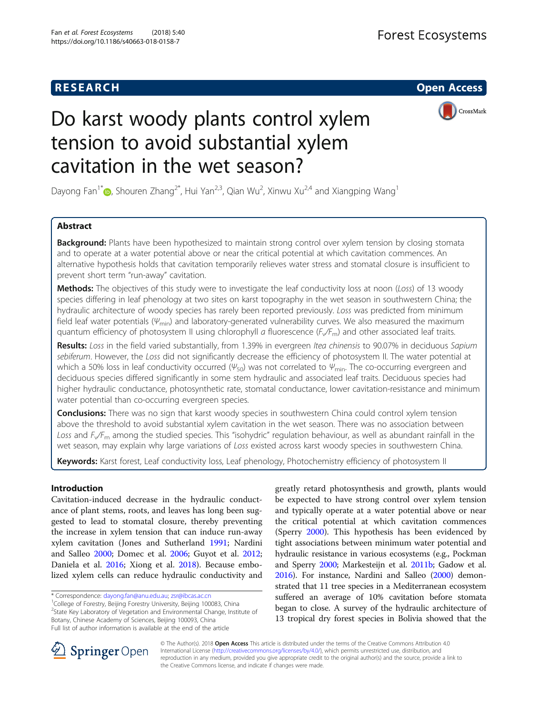# **RESEARCH CHE Open Access**



# Do karst woody plants control xylem tension to avoid substantial xylem cavitation in the wet season?

Dayong Fan<sup>1[\\*](http://orcid.org/0000-0002-2591-6029)</sup> , Shouren Zhang<sup>2\*</sup>, Hui Yan<sup>2,3</sup>, Qian Wu<sup>2</sup>, Xinwu Xu<sup>2,4</sup> and Xiangping Wang<sup>1</sup>

# Abstract

**Background:** Plants have been hypothesized to maintain strong control over xylem tension by closing stomata and to operate at a water potential above or near the critical potential at which cavitation commences. An alternative hypothesis holds that cavitation temporarily relieves water stress and stomatal closure is insufficient to prevent short term "run-away" cavitation.

Methods: The objectives of this study were to investigate the leaf conductivity loss at noon (Loss) of 13 woody species differing in leaf phenology at two sites on karst topography in the wet season in southwestern China; the hydraulic architecture of woody species has rarely been reported previously. Loss was predicted from minimum field leaf water potentials ( $\Psi_{min}$ ) and laboratory-generated vulnerability curves. We also measured the maximum quantum efficiency of photosystem II using chlorophyll a fluorescence  $(F\swe F_m)$  and other associated leaf traits.

Results: Loss in the field varied substantially, from 1.39% in evergreen Itea chinensis to 90.07% in deciduous Sapium sebiferum. However, the Loss did not significantly decrease the efficiency of photosystem II. The water potential at which a 50% loss in leaf conductivity occurred ( $\Psi_{50}$ ) was not correlated to  $\Psi_{min}$ . The co-occurring evergreen and deciduous species differed significantly in some stem hydraulic and associated leaf traits. Deciduous species had higher hydraulic conductance, photosynthetic rate, stomatal conductance, lower cavitation-resistance and minimum water potential than co-occurring evergreen species.

**Conclusions:** There was no sign that karst woody species in southwestern China could control xylem tension above the threshold to avoid substantial xylem cavitation in the wet season. There was no association between Loss and  $F_v/F_m$  among the studied species. This "isohydric" regulation behaviour, as well as abundant rainfall in the wet season, may explain why large variations of Loss existed across karst woody species in southwestern China.

Keywords: Karst forest, Leaf conductivity loss, Leaf phenology, Photochemistry efficiency of photosystem II

# Introduction

Cavitation-induced decrease in the hydraulic conductance of plant stems, roots, and leaves has long been suggested to lead to stomatal closure, thereby preventing the increase in xylem tension that can induce run-away xylem cavitation (Jones and Sutherland [1991;](#page-10-0) Nardini and Salleo [2000;](#page-10-0) Domec et al. [2006](#page-9-0); Guyot et al. [2012](#page-10-0); Daniela et al. [2016;](#page-9-0) Xiong et al. [2018](#page-10-0)). Because embolized xylem cells can reduce hydraulic conductivity and

<sup>1</sup>College of Forestry, Beijing Forestry University, Beijing 100083, China <sup>2</sup>State Key Laboratory of Vegetation and Environmental Change, Institute of Botany, Chinese Academy of Sciences, Beijing 100093, China Full list of author information is available at the end of the article

greatly retard photosynthesis and growth, plants would be expected to have strong control over xylem tension and typically operate at a water potential above or near the critical potential at which cavitation commences (Sperry [2000\)](#page-10-0). This hypothesis has been evidenced by tight associations between minimum water potential and hydraulic resistance in various ecosystems (e.g., Pockman and Sperry [2000;](#page-10-0) Markesteijn et al. [2011b](#page-10-0); Gadow et al. [2016\)](#page-10-0). For instance, Nardini and Salleo ([2000](#page-10-0)) demonstrated that 11 tree species in a Mediterranean ecosystem suffered an average of 10% cavitation before stomata began to close. A survey of the hydraulic architecture of 13 tropical dry forest species in Bolivia showed that the



© The Author(s). 2018 Open Access This article is distributed under the terms of the Creative Commons Attribution 4.0 International License ([http://creativecommons.org/licenses/by/4.0/\)](http://creativecommons.org/licenses/by/4.0/), which permits unrestricted use, distribution, and reproduction in any medium, provided you give appropriate credit to the original author(s) and the source, provide a link to the Creative Commons license, and indicate if changes were made.

<sup>\*</sup> Correspondence: [dayong.fan@anu.edu.au;](mailto:dayong.fan@anu.edu.au) [zsr@ibcas.ac.cn](mailto:zsr@ibcas.ac.cn) <sup>1</sup>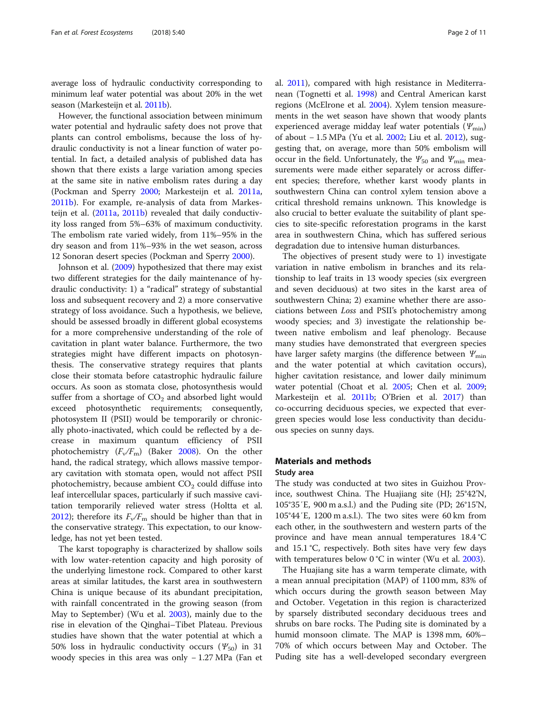average loss of hydraulic conductivity corresponding to minimum leaf water potential was about 20% in the wet season (Markesteijn et al. [2011b\)](#page-10-0).

However, the functional association between minimum water potential and hydraulic safety does not prove that plants can control embolisms, because the loss of hydraulic conductivity is not a linear function of water potential. In fact, a detailed analysis of published data has shown that there exists a large variation among species at the same site in native embolism rates during a day (Pockman and Sperry [2000](#page-10-0); Markesteijn et al. [2011a](#page-10-0), [2011b](#page-10-0)). For example, re-analysis of data from Markesteijn et al. ([2011a,](#page-10-0) [2011b](#page-10-0)) revealed that daily conductivity loss ranged from 5%–63% of maximum conductivity. The embolism rate varied widely, from 11%–95% in the dry season and from 11%–93% in the wet season, across 12 Sonoran desert species (Pockman and Sperry [2000\)](#page-10-0).

Johnson et al. ([2009](#page-10-0)) hypothesized that there may exist two different strategies for the daily maintenance of hydraulic conductivity: 1) a "radical" strategy of substantial loss and subsequent recovery and 2) a more conservative strategy of loss avoidance. Such a hypothesis, we believe, should be assessed broadly in different global ecosystems for a more comprehensive understanding of the role of cavitation in plant water balance. Furthermore, the two strategies might have different impacts on photosynthesis. The conservative strategy requires that plants close their stomata before catastrophic hydraulic failure occurs. As soon as stomata close, photosynthesis would suffer from a shortage of  $CO<sub>2</sub>$  and absorbed light would exceed photosynthetic requirements; consequently, photosystem II (PSII) would be temporarily or chronically photo-inactivated, which could be reflected by a decrease in maximum quantum efficiency of PSII photochemistry  $(F_v/F_m)$  (Baker [2008](#page-9-0)). On the other hand, the radical strategy, which allows massive temporary cavitation with stomata open, would not affect PSII photochemistry, because ambient  $CO<sub>2</sub>$  could diffuse into leaf intercellular spaces, particularly if such massive cavitation temporarily relieved water stress (Holtta et al. [2012](#page-10-0)); therefore its  $F_v/F_m$  should be higher than that in the conservative strategy. This expectation, to our knowledge, has not yet been tested.

The karst topography is characterized by shallow soils with low water-retention capacity and high porosity of the underlying limestone rock. Compared to other karst areas at similar latitudes, the karst area in southwestern China is unique because of its abundant precipitation, with rainfall concentrated in the growing season (from May to September) (Wu et al. [2003\)](#page-10-0), mainly due to the rise in elevation of the Qinghai–Tibet Plateau. Previous studies have shown that the water potential at which a 50% loss in hydraulic conductivity occurs ( $\Psi_{50}$ ) in 31 woody species in this area was only − 1.27 MPa (Fan et al. [2011\)](#page-10-0), compared with high resistance in Mediterranean (Tognetti et al. [1998\)](#page-10-0) and Central American karst regions (McElrone et al. [2004](#page-10-0)). Xylem tension measurements in the wet season have shown that woody plants experienced average midday leaf water potentials  $(\varPsi_{\text{min}})$ of about − 1.5 MPa (Yu et al. [2002](#page-10-0); Liu et al. [2012\)](#page-10-0), suggesting that, on average, more than 50% embolism will occur in the field. Unfortunately, the  $\mathcal{Y}_{50}$  and  $\mathcal{Y}_{\text{min}}$  measurements were made either separately or across different species; therefore, whether karst woody plants in southwestern China can control xylem tension above a critical threshold remains unknown. This knowledge is also crucial to better evaluate the suitability of plant species to site-specific reforestation programs in the karst area in southwestern China, which has suffered serious degradation due to intensive human disturbances.

The objectives of present study were to 1) investigate variation in native embolism in branches and its relationship to leaf traits in 13 woody species (six evergreen and seven deciduous) at two sites in the karst area of southwestern China; 2) examine whether there are associations between Loss and PSII's photochemistry among woody species; and 3) investigate the relationship between native embolism and leaf phenology. Because many studies have demonstrated that evergreen species have larger safety margins (the difference between  $Y_{\text{min}}$ and the water potential at which cavitation occurs), higher cavitation resistance, and lower daily minimum water potential (Choat et al. [2005;](#page-9-0) Chen et al. [2009](#page-9-0); Markesteijn et al. [2011b](#page-10-0); O'Brien et al. [2017\)](#page-10-0) than co-occurring deciduous species, we expected that evergreen species would lose less conductivity than deciduous species on sunny days.

# Materials and methods

# Study area

The study was conducted at two sites in Guizhou Province, southwest China. The Huajiang site (HJ; 25°42'N, 105°35′E, 900 m a.s.l.) and the Puding site (PD; 26°15'N, 105°44′E, 1200 m a.s.l.). The two sites were 60 km from each other, in the southwestern and western parts of the province and have mean annual temperatures 18.4 °C and 15.1 °C, respectively. Both sites have very few days with temperatures below 0 °C in winter (Wu et al. [2003\)](#page-10-0).

The Huajiang site has a warm temperate climate, with a mean annual precipitation (MAP) of 1100 mm, 83% of which occurs during the growth season between May and October. Vegetation in this region is characterized by sparsely distributed secondary deciduous trees and shrubs on bare rocks. The Puding site is dominated by a humid monsoon climate. The MAP is 1398 mm, 60%– 70% of which occurs between May and October. The Puding site has a well-developed secondary evergreen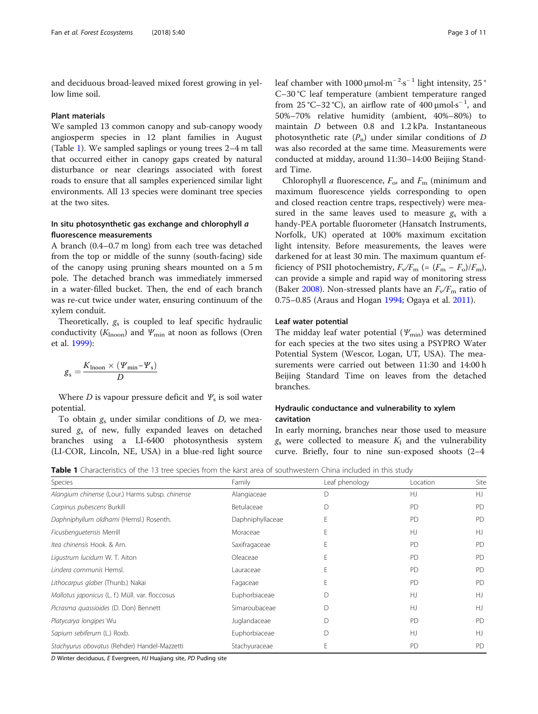and deciduous broad-leaved mixed forest growing in yellow lime soil.

#### Plant materials

We sampled 13 common canopy and sub-canopy woody angiosperm species in 12 plant families in August (Table 1). We sampled saplings or young trees 2–4 m tall that occurred either in canopy gaps created by natural disturbance or near clearings associated with forest roads to ensure that all samples experienced similar light environments. All 13 species were dominant tree species at the two sites.

# In situ photosynthetic gas exchange and chlorophyll a fluorescence measurements

A branch (0.4–0.7 m long) from each tree was detached from the top or middle of the sunny (south-facing) side of the canopy using pruning shears mounted on a 5 m pole. The detached branch was immediately immersed in a water-filled bucket. Then, the end of each branch was re-cut twice under water, ensuring continuum of the xylem conduit.

Theoretically,  $g_s$  is coupled to leaf specific hydraulic conductivity ( $K_{\text{Inoon}}$ ) and  $\Psi_{\text{min}}$  at noon as follows (Oren et al. [1999\)](#page-10-0):

$$
g_s = \frac{K_{\text{Inoon}} \times (\Psi_{\text{min}} - \Psi_s)}{D}
$$

Where D is vapour pressure deficit and  $\Psi_s$  is soil water potential.

To obtain  $g_s$  under similar conditions of  $D$ , we measured  $g_s$  of new, fully expanded leaves on detached branches using a LI-6400 photosynthesis system (LI-COR, Lincoln, NE, USA) in a blue-red light source

leaf chamber with 1000  $\mu$ mol⋅m<sup>-2</sup>⋅s<sup>-1</sup> light intensity, 25° C–30 °C leaf temperature (ambient temperature ranged from 25 °C-32 °C), an airflow rate of  $400 \mu$ mol⋅s<sup>-1</sup>, and 50%–70% relative humidity (ambient, 40%–80%) to maintain D between 0.8 and 1.2 kPa. Instantaneous photosynthetic rate  $(P_n)$  under similar conditions of D was also recorded at the same time. Measurements were conducted at midday, around 11:30–14:00 Beijing Standard Time.

Chlorophyll *a* fluorescence,  $F_o$ , and  $F_m$  (minimum and maximum fluorescence yields corresponding to open and closed reaction centre traps, respectively) were measured in the same leaves used to measure  $g_s$  with a handy-PEA portable fluorometer (Hansatch Instruments, Norfolk, UK) operated at 100% maximum excitation light intensity. Before measurements, the leaves were darkened for at least 30 min. The maximum quantum efficiency of PSII photochemistry,  $F_v/F_m$  (=  $(F_m - F_o)/F_m$ ), can provide a simple and rapid way of monitoring stress (Baker [2008\)](#page-9-0). Non-stressed plants have an  $F_v/F_m$  ratio of 0.75–0.85 (Araus and Hogan [1994](#page-9-0); Ogaya et al. [2011](#page-10-0)).

# Leaf water potential

The midday leaf water potential  $(\Psi_{\text{min}})$  was determined for each species at the two sites using a PSYPRO Water Potential System (Wescor, Logan, UT, USA). The measurements were carried out between 11:30 and 14:00 h Beijing Standard Time on leaves from the detached branches.

# Hydraulic conductance and vulnerability to xylem cavitation

In early morning, branches near those used to measure  $g_s$  were collected to measure  $K_1$  and the vulnerability curve. Briefly, four to nine sun-exposed shoots (2–4

**Table 1** Characteristics of the 13 tree species from the karst area of southwestern China included in this study

| <b>Species</b>                                  | Family           | Leaf phenology | Location | Site      |  |
|-------------------------------------------------|------------------|----------------|----------|-----------|--|
| Alangium chinense (Lour.) Harms subsp. chinense | Alangiaceae      | D              | HJ       | H         |  |
| Carpinus pubescens Burkill                      | Betulaceae       | D              | PD       | <b>PD</b> |  |
| Daphniphyllum oldhami (Hemsl.) Rosenth.         | Daphniphyllaceae | E              | PD       | <b>PD</b> |  |
| Ficusbenquetensis Merrill                       | Moraceae         | E              | HJ       | HJ        |  |
| Itea chinensis Hook, & Arn.                     | Saxifragaceae    | E              | PD       | <b>PD</b> |  |
| Ligustrum lucidum W. T. Aiton                   | Oleaceae         | F              | PD       | <b>PD</b> |  |
| Lindera communis Hemsl.                         | Lauraceae        | E              | PD       | <b>PD</b> |  |
| Lithocarpus glaber (Thunb.) Nakai               | Fagaceae         | E              | PD       | <b>PD</b> |  |
| Mallotus japonicus (L. f.) Müll. var. floccosus | Euphorbiaceae    | $\mathsf{D}$   | HJ       | HJ        |  |
| Picrasma quassioides (D. Don) Bennett           | Simaroubaceae    | $\mathsf{D}$   | HJ       | HJ        |  |
| Platycarya longipes Wu                          | Juglandaceae     |                | PD       | PD        |  |
| Sapium sebiferum (L.) Roxb.                     | Euphorbiaceae    | D              | H        | HJ        |  |
| Stachyurus obovatus (Rehder) Handel-Mazzetti    | Stachyuraceae    | E              | PD       | PD        |  |

D Winter deciduous, E Evergreen, HJ Huajiang site, PD Puding site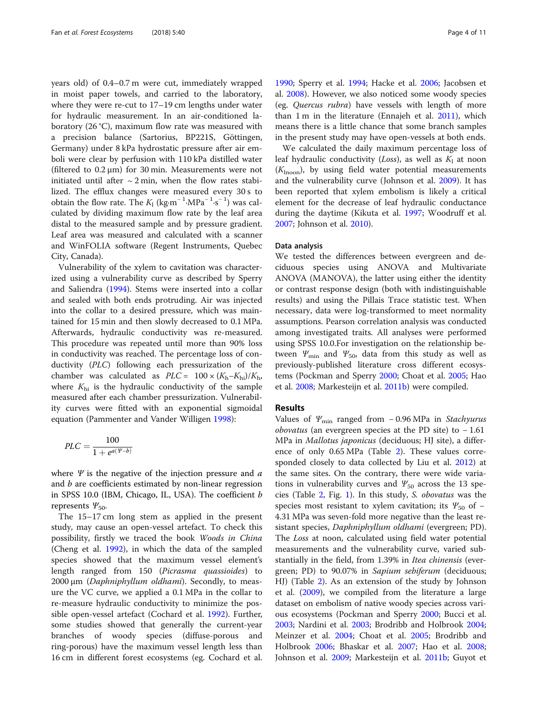years old) of 0.4–0.7 m were cut, immediately wrapped in moist paper towels, and carried to the laboratory, where they were re-cut to 17–19 cm lengths under water for hydraulic measurement. In an air-conditioned laboratory (26 °C), maximum flow rate was measured with a precision balance (Sartorius, BP221S, Göttingen, Germany) under 8 kPa hydrostatic pressure after air emboli were clear by perfusion with 110 kPa distilled water (filtered to 0.2 μm) for 30 min. Measurements were not initiated until after  $\sim$  2 min, when the flow rates stabilized. The efflux changes were measured every 30 s to obtain the flow rate. The  $K_1$  (kg⋅m<sup>-1</sup>⋅MPa<sup>-1</sup>⋅s<sup>-1</sup>)</sub> was calculated by dividing maximum flow rate by the leaf area distal to the measured sample and by pressure gradient. Leaf area was measured and calculated with a scanner and WinFOLIA software (Regent Instruments, Quebec City, Canada).

Vulnerability of the xylem to cavitation was characterized using a vulnerability curve as described by Sperry and Saliendra ([1994](#page-10-0)). Stems were inserted into a collar and sealed with both ends protruding. Air was injected into the collar to a desired pressure, which was maintained for 15 min and then slowly decreased to 0.1 MPa. Afterwards, hydraulic conductivity was re-measured. This procedure was repeated until more than 90% loss in conductivity was reached. The percentage loss of conductivity (PLC) following each pressurization of the chamber was calculated as  $PLC = 100 \times (K_h - K_{hi})/K_h$ , where  $K<sub>hi</sub>$  is the hydraulic conductivity of the sample measured after each chamber pressurization. Vulnerability curves were fitted with an exponential sigmoidal equation (Pammenter and Vander Willigen [1998](#page-10-0)):

$$
PLC = \frac{100}{1 + e^{a(\Psi - b)}}
$$

where  $\Psi$  is the negative of the injection pressure and  $a$ and b are coefficients estimated by non-linear regression in SPSS 10.0 (IBM, Chicago, IL, USA). The coefficient b represents  $\Psi_{50}$ .

The 15–17 cm long stem as applied in the present study, may cause an open-vessel artefact. To check this possibility, firstly we traced the book Woods in China (Cheng et al. [1992](#page-9-0)), in which the data of the sampled species showed that the maximum vessel element's length ranged from 150 (Picrasma quassioides) to 2000 μm (Daphniphyllum oldhami). Secondly, to measure the VC curve, we applied a 0.1 MPa in the collar to re-measure hydraulic conductivity to minimize the possible open-vessel artefact (Cochard et al. [1992](#page-9-0)). Further, some studies showed that generally the current-year branches of woody species (diffuse-porous and ring-porous) have the maximum vessel length less than 16 cm in different forest ecosystems (eg. Cochard et al.

[1990](#page-9-0); Sperry et al. [1994](#page-10-0); Hacke et al. [2006](#page-10-0); Jacobsen et al. [2008\)](#page-10-0). However, we also noticed some woody species (eg. Quercus rubra) have vessels with length of more than 1 m in the literature (Ennajeh et al. [2011](#page-10-0)), which means there is a little chance that some branch samples in the present study may have open-vessels at both ends.

We calculated the daily maximum percentage loss of leaf hydraulic conductivity (Loss), as well as  $K_1$  at noon  $(K<sub>lnoon</sub>)$ , by using field water potential measurements and the vulnerability curve (Johnson et al. [2009\)](#page-10-0). It has been reported that xylem embolism is likely a critical element for the decrease of leaf hydraulic conductance during the daytime (Kikuta et al. [1997](#page-10-0); Woodruff et al. [2007](#page-10-0); Johnson et al. [2010\)](#page-10-0).

### Data analysis

We tested the differences between evergreen and deciduous species using ANOVA and Multivariate ANOVA (MANOVA), the latter using either the identity or contrast response design (both with indistinguishable results) and using the Pillais Trace statistic test. When necessary, data were log-transformed to meet normality assumptions. Pearson correlation analysis was conducted among investigated traits. All analyses were performed using SPSS 10.0.For investigation on the relationship between  $\Psi_{\min}$  and  $\Psi_{50}$ , data from this study as well as previously-published literature cross different ecosystems (Pockman and Sperry [2000;](#page-10-0) Choat et al. [2005](#page-9-0); Hao et al. [2008;](#page-10-0) Markesteijn et al. [2011b](#page-10-0)) were compiled.

# Results

Values of  $\mathcal{Y}_{\text{min}}$  ranged from - 0.96 MPa in Stachyurus *obovatus* (an evergreen species at the PD site) to  $-1.61$ MPa in Mallotus japonicus (deciduous; HJ site), a difference of only 0.65 MPa (Table [2](#page-4-0)). These values corresponded closely to data collected by Liu et al. [2012\)](#page-10-0) at the same sites. On the contrary, there were wide variations in vulnerability curves and  $\Psi_{50}$  across the 13 species (Table [2,](#page-4-0) Fig. [1](#page-5-0)). In this study, S. obovatus was the species most resistant to xylem cavitation; its  $\Psi_{50}$  of – 4.31 MPa was seven-fold more negative than the least resistant species, Daphniphyllum oldhami (evergreen; PD). The Loss at noon, calculated using field water potential measurements and the vulnerability curve, varied substantially in the field, from 1.39% in Itea chinensis (evergreen; PD) to 90.07% in Sapium sebiferum (deciduous; HJ) (Table [2\)](#page-4-0). As an extension of the study by Johnson et al. ([2009](#page-10-0)), we compiled from the literature a large dataset on embolism of native woody species across various ecosystems (Pockman and Sperry [2000;](#page-10-0) Bucci et al. [2003](#page-9-0); Nardini et al. [2003](#page-10-0); Brodribb and Holbrook [2004](#page-9-0); Meinzer et al. [2004;](#page-10-0) Choat et al. [2005;](#page-9-0) Brodribb and Holbrook [2006;](#page-9-0) Bhaskar et al. [2007](#page-9-0); Hao et al. [2008](#page-10-0); Johnson et al. [2009;](#page-10-0) Markesteijn et al. [2011b](#page-10-0); Guyot et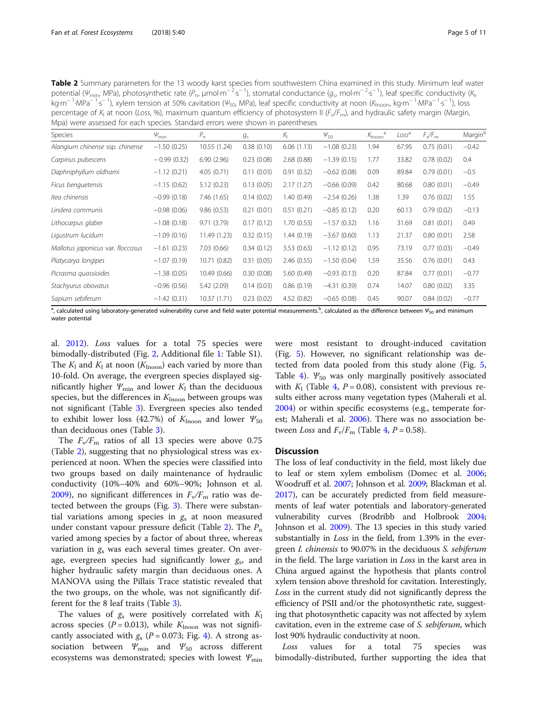<span id="page-4-0"></span>Table 2 Summary parameters for the 13 woody karst species from southwestern China examined in this study. Minimum leaf water potential ( $\psi_{min}$ , MPa), photosynthetic rate ( $P_n$ , µmol⋅m<sup>−2</sup>⋅s<sup>−1</sup>), stomatal conductance ( $g_s$ , mol⋅m<sup>−2</sup>⋅s<sup>−1</sup>), leaf specific conductivity (K , kg⋅m<sup>− 1</sup>⋅MPa<sup>− 1</sup>⋅s<sup>− 1</sup>), xylem tension at 50% cavitation (Ψ<sub>50</sub>, MPa), leaf specific conductivity at noon (K<sub>lnoon</sub>, kg⋅m<sup>− 1</sup>⋅MPa<sup>− 1</sup>⋅s<sup>− 1</sup>), loss percentage of  $K_1$  at noon (Loss, %), maximum quantum efficiency of photosystem II ( $F_v/F_m$ ), and hydraulic safety margin (Margin, Mpa) were assessed for each species. Standard errors were shown in parentheses

| $\Psi_{\text{min}}$ | $P_{n}$      | $g_{\rm s}$ | $K_{\parallel}$ | $\Psi_{50}$   | $K_{\text{Inoon}}$ <sup>2</sup> | Loss <sup>a</sup> | $F\sqrt{F_m}$ | Marginb                                                                                                                                                                 |
|---------------------|--------------|-------------|-----------------|---------------|---------------------------------|-------------------|---------------|-------------------------------------------------------------------------------------------------------------------------------------------------------------------------|
| $-1.50(0.25)$       | 10.55 (1.24) | 0.38(0.10)  | 6.06(1.13)      | $-1.08(0.23)$ | 1.94                            | 67.95             | 0.75(0.01)    | $-0.42$                                                                                                                                                                 |
| $-0.99(0.32)$       | 6.90(2.96)   | 0.23(0.08)  | 2.68(0.88)      | $-1.39(0.15)$ | 1.77                            | 33.82             | 0.78(0.02)    | 0.4                                                                                                                                                                     |
| $-1.12(0.21)$       | 4.05(0.71)   | 0.11(0.03)  | 0.91(0.32)      | $-0.62(0.08)$ | 0.09                            | 89.84             | 0.79(0.01)    | $-0.5$                                                                                                                                                                  |
| $-1.15(0.62)$       | 5.12(0.23)   | 0.13(0.05)  | 2.17(1.27)      | $-0.66(0.09)$ | 0.42                            | 80.68             | 0.80(0.01)    | $-0.49$                                                                                                                                                                 |
| $-0.99(0.18)$       | 7.46(1.65)   | 0.14(0.02)  | 1.40 (0.49)     | $-2.54(0.26)$ | 1.38                            | 1.39              | 0.76(0.02)    | 1.55                                                                                                                                                                    |
| $-0.98(0.06)$       | 9.86(0.53)   | 0.21(0.01)  | 0.51(0.21)      | $-0.85(0.12)$ | 0.20                            | 60.13             | 0.79(0.02)    | $-0.13$                                                                                                                                                                 |
| $-1.08(0.18)$       | 9.71(3.79)   | 0.17(0.12)  | 1.70 (0.53)     | $-1.57(0.32)$ | 1.16                            | 31.69             | 0.81(0.01)    | 0.49                                                                                                                                                                    |
| $-1.09(0.16)$       | 11.49 (1.23) | 0.32(0.15)  | 1.44 (0.19)     | $-3.67(0.60)$ | 1.13                            | 21.37             | 0.80(0.01)    | 2.58                                                                                                                                                                    |
| $-1.61(0.23)$       | 7.03(0.66)   | 0.34(0.12)  | 3.53(0.63)      | $-1.12(0.12)$ | 0.95                            | 73.19             | 0.77(0.03)    | $-0.49$                                                                                                                                                                 |
| $-1.07(0.19)$       | 10.71 (0.82) | 0.31(0.05)  | 2.46(0.55)      | $-1.50(0.04)$ | 1.59                            | 35.56             | 0.76(0.01)    | 0.43                                                                                                                                                                    |
| $-1.38(0.05)$       | 10.49 (0.66) | 0.30(0.08)  | 5.60(0.49)      | $-0.93(0.13)$ | 0.20                            | 87.84             | 0.77(0.01)    | $-0.77$                                                                                                                                                                 |
| $-0.96(0.56)$       | 5.42 (2.09)  | 0.14(0.03)  | 0.86(0.19)      | $-4.31(0.39)$ | 0.74                            | 14.07             | 0.80(0.02)    | 3.35                                                                                                                                                                    |
| $-1.42(0.31)$       | 10.37(1.71)  | 0.23(0.02)  | 4.52(0.82)      | $-0.65(0.08)$ | 0.45                            | 90.07             | 0.84(0.02)    | $-0.77$                                                                                                                                                                 |
|                     |              |             |                 |               |                                 |                   |               | where the difference bottom concreted where this curve and field water potential measurements $^{\circ}$ calculated as the difference botween $^{\circ}$<br>and minimum |

, calculated using laboratory-generated vulnerability curve and field water potential measurements.<sup>b</sup>, calculated as the difference between  $\bm{\varphi}_{50}$  and minimum water potentia

al. [2012\)](#page-10-0). Loss values for a total 75 species were bimodally-distributed (Fig. [2](#page-6-0), Additional file [1:](#page-9-0) Table S1). The  $K_1$  and  $K_1$  at noon ( $K_{\text{Inoon}}$ ) each varied by more than 10-fold. On average, the evergreen species displayed significantly higher  $Y_{\text{min}}$  and lower  $K_1$  than the deciduous species, but the differences in  $K_{\text{Inoon}}$  between groups was not significant (Table [3](#page-6-0)). Evergreen species also tended to exhibit lower loss (42.7%) of  $K_{\text{Inoon}}$  and lower  $\Psi_{50}$ than deciduous ones (Table [3](#page-6-0)).

The  $F_v/F_m$  ratios of all 13 species were above 0.75 (Table 2), suggesting that no physiological stress was experienced at noon. When the species were classified into two groups based on daily maintenance of hydraulic conductivity (10%–40% and 60%–90%; Johnson et al. [2009](#page-10-0)), no significant differences in  $F_v/F_m$  ratio was detected between the groups (Fig. [3](#page-6-0)). There were substantial variations among species in  $g_s$  at noon measured under constant vapour pressure deficit (Table 2). The  $P_n$ varied among species by a factor of about three, whereas variation in  $g<sub>s</sub>$  was each several times greater. On average, evergreen species had significantly lower  $g_s$ , and higher hydraulic safety margin than deciduous ones. A MANOVA using the Pillais Trace statistic revealed that the two groups, on the whole, was not significantly different for the 8 leaf traits (Table [3\)](#page-6-0).

The values of  $g_s$  were positively correlated with  $K_1$ across species ( $P = 0.013$ ), while  $K_{\text{Inoon}}$  was not significantly associated with  $g_s$  (P = 0.073; Fig. [4\)](#page-7-0). A strong association between  $\Psi_{\min}$  and  $\Psi_{50}$  across different ecosystems was demonstrated; species with lowest  $\Psi_{\min}$ 

were most resistant to drought-induced cavitation (Fig. [5\)](#page-8-0). However, no significant relationship was detected from data pooled from this study alone (Fig. [5](#page-8-0), Table [4](#page-8-0)).  $\mathcal{Y}_{50}$  was only marginally positively associated with  $K_1$  (Table [4](#page-8-0),  $P = 0.08$ ), consistent with previous results either across many vegetation types (Maherali et al. [2004](#page-10-0)) or within specific ecosystems (e.g., temperate for-est; Maherali et al. [2006](#page-10-0)). There was no association between Loss and  $F_v/F_m$  (Table [4](#page-8-0), P = 0.58).

# **Discussion**

The loss of leaf conductivity in the field, most likely due to leaf or stem xylem embolism (Domec et al. [2006](#page-9-0); Woodruff et al. [2007;](#page-10-0) Johnson et al. [2009;](#page-10-0) Blackman et al. [2017\)](#page-9-0), can be accurately predicted from field measurements of leaf water potentials and laboratory-generated vulnerability curves (Brodribb and Holbrook [2004](#page-9-0); Johnson et al. [2009\)](#page-10-0). The 13 species in this study varied substantially in Loss in the field, from 1.39% in the evergreen *I. chinensis* to 90.07% in the deciduous *S. sebiferum* in the field. The large variation in Loss in the karst area in China argued against the hypothesis that plants control xylem tension above threshold for cavitation. Interestingly, Loss in the current study did not significantly depress the efficiency of PSII and/or the photosynthetic rate, suggesting that photosynthetic capacity was not affected by xylem cavitation, even in the extreme case of *S. sebiferum*, which lost 90% hydraulic conductivity at noon.

Loss values for a total 75 species was bimodally-distributed, further supporting the idea that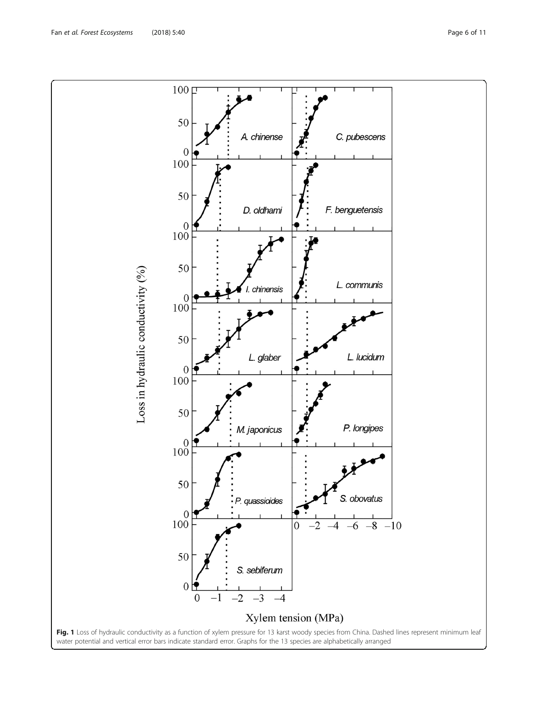<span id="page-5-0"></span>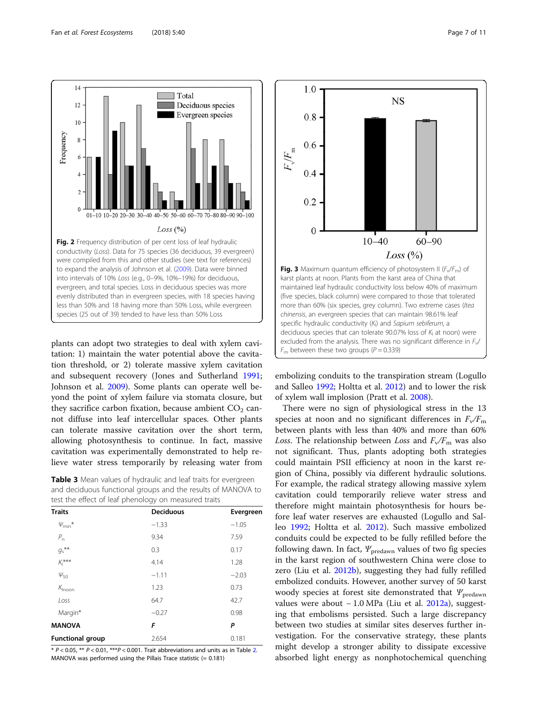

<span id="page-6-0"></span>

plants can adopt two strategies to deal with xylem cavitation: 1) maintain the water potential above the cavitation threshold, or 2) tolerate massive xylem cavitation and subsequent recovery (Jones and Sutherland [1991](#page-10-0); Johnson et al. [2009\)](#page-10-0). Some plants can operate well beyond the point of xylem failure via stomata closure, but they sacrifice carbon fixation, because ambient  $CO<sub>2</sub>$  cannot diffuse into leaf intercellular spaces. Other plants can tolerate massive cavitation over the short term, allowing photosynthesis to continue. In fact, massive cavitation was experimentally demonstrated to help relieve water stress temporarily by releasing water from

Table 3 Mean values of hydraulic and leaf traits for evergreen and deciduous functional groups and the results of MANOVA to test the effect of leaf phenology on measured traits

| <b>Traits</b>           | <b>Deciduous</b> | Evergreen |
|-------------------------|------------------|-----------|
| $\psi_{\min}$ *         | $-1.33$          | $-1.05$   |
| $P_{n}$                 | 9.34             | 7.59      |
| $g_{s}$ **              | 0.3              | 0.17      |
| $K_1$ ***               | 4.14             | 1.28      |
| $\Psi_{50}$             | $-1.11$          | $-2.03$   |
| $K_{\mathsf{Inoon}}$    | 1.23             | 0.73      |
| Loss                    | 64.7             | 42.7      |
| Margin*                 | $-0.27$          | 0.98      |
| <b>MANOVA</b>           | F                | P         |
| <b>Functional group</b> | 2.654            | 0.181     |

 $* P < 0.05$ ,  $** P < 0.01$ ,  $** P < 0.001$ . Trait abbreviations and units as in Table [2.](#page-4-0) MANOVA was performed using the Pillais Trace statistic (= 0.181)



embolizing conduits to the transpiration stream (Logullo and Salleo [1992;](#page-10-0) Holtta et al. [2012](#page-10-0)) and to lower the risk of xylem wall implosion (Pratt et al. [2008](#page-10-0)).

There were no sign of physiological stress in the 13 species at noon and no significant differences in  $F_v/F_m$ between plants with less than 40% and more than 60% Loss. The relationship between Loss and  $F_v/F_m$  was also not significant. Thus, plants adopting both strategies could maintain PSII efficiency at noon in the karst region of China, possibly via different hydraulic solutions. For example, the radical strategy allowing massive xylem cavitation could temporarily relieve water stress and therefore might maintain photosynthesis for hours before leaf water reserves are exhausted (Logullo and Salleo [1992](#page-10-0); Holtta et al. [2012](#page-10-0)). Such massive embolized conduits could be expected to be fully refilled before the following dawn. In fact,  $\Psi_{\text{predawn}}$  values of two fig species in the karst region of southwestern China were close to zero (Liu et al. [2012b\)](#page-10-0), suggesting they had fully refilled embolized conduits. However, another survey of 50 karst woody species at forest site demonstrated that  $\Psi_{\text{predawn}}$ values were about − 1.0 MPa (Liu et al. [2012a](#page-10-0)), suggesting that embolisms persisted. Such a large discrepancy between two studies at similar sites deserves further investigation. For the conservative strategy, these plants might develop a stronger ability to dissipate excessive absorbed light energy as nonphotochemical quenching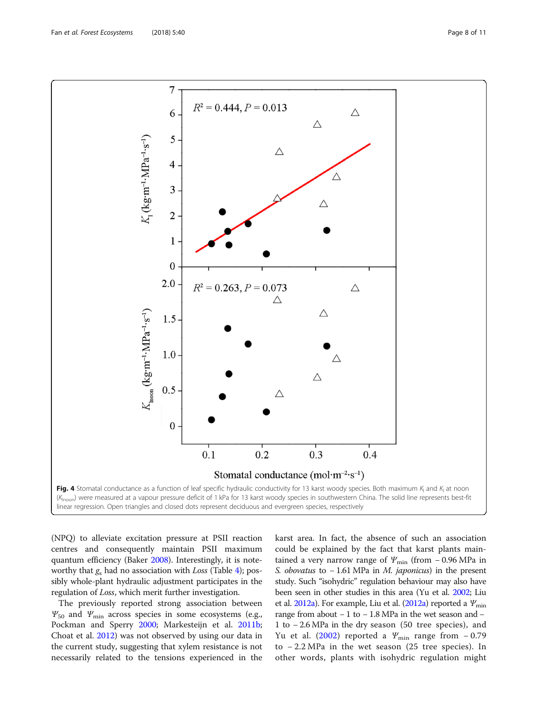<span id="page-7-0"></span>

(NPQ) to alleviate excitation pressure at PSII reaction centres and consequently maintain PSII maximum quantum efficiency (Baker [2008](#page-9-0)). Interestingly, it is noteworthy that  $g_s$  had no association with Loss (Table [4](#page-8-0)); possibly whole-plant hydraulic adjustment participates in the regulation of Loss, which merit further investigation.

The previously reported strong association between  $\Psi_{50}$  and  $\Psi_{\text{min}}$  across species in some ecosystems (e.g., Pockman and Sperry [2000](#page-10-0); Markesteijn et al. [2011b](#page-10-0); Choat et al. [2012\)](#page-9-0) was not observed by using our data in the current study, suggesting that xylem resistance is not necessarily related to the tensions experienced in the karst area. In fact, the absence of such an association could be explained by the fact that karst plants maintained a very narrow range of  $\varPsi_{\text{min}}$  (from – 0.96 MPa in S. obovatus to −1.61 MPa in M. japonicus) in the present study. Such "isohydric" regulation behaviour may also have been seen in other studies in this area (Yu et al. [2002](#page-10-0); Liu et al.  $2012a$ ). For example, Liu et al. ( $2012a$ ) reported a  $\mathcal{Y}_{\text{min}}$ range from about − 1 to − 1.8 MPa in the wet season and − 1 to − 2.6 MPa in the dry season (50 tree species), and Yu et al. ([2002](#page-10-0)) reported a  $\Psi_{\text{min}}$  range from -0.79 to − 2.2 MPa in the wet season (25 tree species). In other words, plants with isohydric regulation might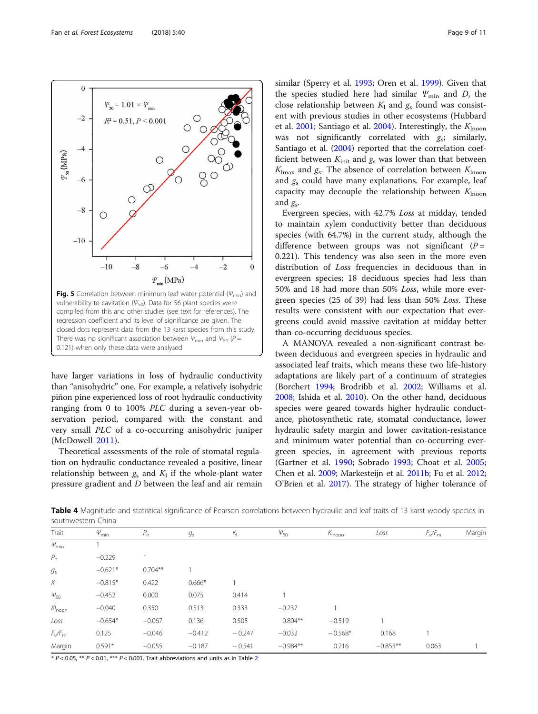have larger variations in loss of hydraulic conductivity than "anisohydric" one. For example, a relatively isohydric piñon pine experienced loss of root hydraulic conductivity

ranging from 0 to 100% PLC during a seven-year observation period, compared with the constant and very small PLC of a co-occurring anisohydric juniper (McDowell [2011\)](#page-10-0). Theoretical assessments of the role of stomatal regula-

tion on hydraulic conductance revealed a positive, linear relationship between  $g_s$  and  $K_l$  if the whole-plant water pressure gradient and D between the leaf and air remain

similar (Sperry et al. [1993](#page-10-0); Oren et al. [1999](#page-10-0)). Given that the species studied here had similar  $\Psi_{\min}$  and D, the close relationship between  $K_1$  and  $g_s$  found was consistent with previous studies in other ecosystems (Hubbard et al. [2001](#page-10-0); Santiago et al. [2004](#page-10-0)). Interestingly, the  $K_{\text{hooon}}$ was not significantly correlated with  $g_s$ ; similarly, Santiago et al. ([2004](#page-10-0)) reported that the correlation coefficient between  $K_{init}$  and  $g_s$  was lower than that between  $K_{\text{lmax}}$  and  $g_s$ . The absence of correlation between  $K_{\text{Inoon}}$ and  $g_s$  could have many explanations. For example, leaf capacity may decouple the relationship between  $K_{\text{Inoon}}$ and  $g<sub>s</sub>$ .

Evergreen species, with 42.7% Loss at midday, tended to maintain xylem conductivity better than deciduous species (with 64.7%) in the current study, although the difference between groups was not significant  $(P =$ 0.221). This tendency was also seen in the more even distribution of Loss frequencies in deciduous than in evergreen species; 18 deciduous species had less than 50% and 18 had more than 50% Loss, while more evergreen species (25 of 39) had less than 50% Loss. These results were consistent with our expectation that evergreens could avoid massive cavitation at midday better than co-occurring deciduous species.

A MANOVA revealed a non-significant contrast between deciduous and evergreen species in hydraulic and associated leaf traits, which means these two life-history adaptations are likely part of a continuum of strategies (Borchert [1994;](#page-9-0) Brodribb et al. [2002](#page-9-0); Williams et al. [2008](#page-10-0); Ishida et al. [2010\)](#page-10-0). On the other hand, deciduous species were geared towards higher hydraulic conductance, photosynthetic rate, stomatal conductance, lower hydraulic safety margin and lower cavitation-resistance and minimum water potential than co-occurring evergreen species, in agreement with previous reports (Gartner et al. [1990](#page-10-0); Sobrado [1993](#page-10-0); Choat et al. [2005](#page-9-0); Chen et al. [2009;](#page-9-0) Markesteijn et al. [2011b](#page-10-0); Fu et al. [2012](#page-10-0); O'Brien et al. [2017\)](#page-10-0). The strategy of higher tolerance of

Table 4 Magnitude and statistical significance of Pearson correlations between hydraulic and leaf traits of 13 karst woody species in southwestern China

| Trait               | $\varphi_{\rm min}$ | $P_n$     | $g_{\rm s}$ | $K_{\rm I}$ | $\varphi_{50}$ | $K_{\text{Inoon}}$ | Loss       | $F\sqrt{F_m}$ | Margir |
|---------------------|---------------------|-----------|-------------|-------------|----------------|--------------------|------------|---------------|--------|
| $\varphi_{\rm min}$ |                     |           |             |             |                |                    |            |               |        |
| $P_{n}$             | $-0.229$            |           |             |             |                |                    |            |               |        |
| $g_{\rm s}$         | $-0.621*$           | $0.704**$ |             |             |                |                    |            |               |        |
| $K_{\vert}$         | $-0.815*$           | 0.422     | $0.666*$    |             |                |                    |            |               |        |
| $\psi_{50}$         | $-0.452$            | 0.000     | 0.075       | 0.414       |                |                    |            |               |        |
| $Kl_{\text{noon}}$  | $-0.040$            | 0.350     | 0.513       | 0.333       | $-0.237$       |                    |            |               |        |
| Loss                | $-0.654*$           | $-0.067$  | 0.136       | 0.505       | $0.804**$      | $-0.519$           |            |               |        |
| $F_{\sqrt{F_{m}}}$  | 0.125               | $-0.046$  | $-0.412$    | $-0.247$    | $-0.032$       | $-0.568*$          | 0.168      |               |        |
| Margin              | $0.591*$            | $-0.055$  | $-0.187$    | $-0.541$    | $-0.984**$     | 0.216              | $-0.853**$ | 0.063         |        |
|                     |                     |           |             |             |                |                    |            |               |        |

 $* P < 0.05$ ,  $** P < 0.01$ ,  $*** P < 0.001$ . Trait abbreviations and units as in Table [2](#page-4-0)

<span id="page-8-0"></span>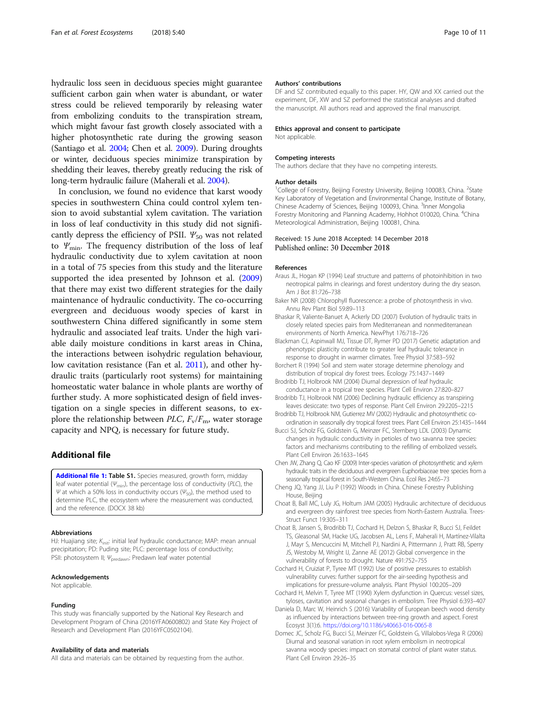<span id="page-9-0"></span>hydraulic loss seen in deciduous species might guarantee sufficient carbon gain when water is abundant, or water stress could be relieved temporarily by releasing water from embolizing conduits to the transpiration stream, which might favour fast growth closely associated with a higher photosynthetic rate during the growing season (Santiago et al. [2004](#page-10-0); Chen et al. 2009). During droughts or winter, deciduous species minimize transpiration by shedding their leaves, thereby greatly reducing the risk of long-term hydraulic failure (Maherali et al. [2004\)](#page-10-0).

In conclusion, we found no evidence that karst woody species in southwestern China could control xylem tension to avoid substantial xylem cavitation. The variation in loss of leaf conductivity in this study did not significantly depress the efficiency of PSII.  $\mathcal{Y}_{50}$  was not related to  $Y_{\text{min}}$ . The frequency distribution of the loss of leaf hydraulic conductivity due to xylem cavitation at noon in a total of 75 species from this study and the literature supported the idea presented by Johnson et al. ([2009](#page-10-0)) that there may exist two different strategies for the daily maintenance of hydraulic conductivity. The co-occurring evergreen and deciduous woody species of karst in southwestern China differed significantly in some stem hydraulic and associated leaf traits. Under the high variable daily moisture conditions in karst areas in China, the interactions between isohydric regulation behaviour, low cavitation resistance (Fan et al. [2011](#page-10-0)), and other hydraulic traits (particularly root systems) for maintaining homeostatic water balance in whole plants are worthy of further study. A more sophisticated design of field investigation on a single species in different seasons, to explore the relationship between PLC,  $F_v/F_m$ , water storage capacity and NPQ, is necessary for future study.

# Additional file

[Additional file 1:](https://doi.org/10.1186/s40663-018-0158-7) Table S1. Species measured, growth form, midday leaf water potential ( $\psi_{\text{min}}$ ), the percentage loss of conductivity (PLC), the Ψ at which a 50% loss in conductivity occurs ( $\Psi_{50}$ ), the method used to determine PLC, the ecosystem where the measurement was conducted, and the reference. (DOCX 38 kb)

#### Abbreviations

HJ: Huajiang site;  $K_{\text{init}}$ : initial leaf hydraulic conductance; MAP: mean annual precipitation; PD: Puding site; PLC: percentage loss of conductivity; PSII: photosystem II;  $\psi_\mathrm{predawn}$ : Predawn leaf water potential

# Acknowledgements

Not applicable.

#### Funding

This study was financially supported by the National Key Research and Development Program of China (2016YFA0600802) and State Key Project of Research and Development Plan (2016YFC0502104).

#### Availability of data and materials

All data and materials can be obtained by requesting from the author.

#### Authors' contributions

DF and SZ contributed equally to this paper. HY, QW and XX carried out the experiment, DF, XW and SZ performed the statistical analyses and drafted the manuscript. All authors read and approved the final manuscript.

#### Ethics approval and consent to participate

Not applicable.

#### Competing interests

The authors declare that they have no competing interests.

#### Author details

<sup>1</sup>College of Forestry, Beijing Forestry University, Beijing 100083, China. <sup>2</sup>State Key Laboratory of Vegetation and Environmental Change, Institute of Botany, Chinese Academy of Sciences, Beijing 100093, China. <sup>3</sup>Inner Mongolia Forestry Monitoring and Planning Academy, Hohhot 010020, China. <sup>4</sup>China Meteorological Administration, Beijing 100081, China.

#### Received: 15 June 2018 Accepted: 14 December 2018 Published online: 30 December 2018

#### References

- Araus JL, Hogan KP (1994) Leaf structure and patterns of photoinhibition in two neotropical palms in clearings and forest understory during the dry season. Am J Bot 81:726–738
- Baker NR (2008) Chlorophyll fluorescence: a probe of photosynthesis in vivo. Annu Rev Plant Biol 59:89–113
- Bhaskar R, Valiente-Banuet A, Ackerly DD (2007) Evolution of hydraulic traits in closely related species pairs from Mediterranean and nonmediterranean environments of North America. NewPhyt 176:718–726
- Blackman CJ, Aspinwall MJ, Tissue DT, Rymer PD (2017) Genetic adaptation and phenotypic plasticity contribute to greater leaf hydraulic tolerance in response to drought in warmer climates. Tree Physiol 37:583–592
- Borchert R (1994) Soil and stem water storage determine phenology and distribution of tropical dry forest trees. Ecology 75:1437–1449
- Brodribb TJ, Holbrook NM (2004) Diurnal depression of leaf hydraulic conductance in a tropical tree species. Plant Cell Environ 27:820–827
- Brodribb TJ, Holbrook NM (2006) Declining hydraulic efficiency as transpiring leaves desiccate: two types of response. Plant Cell Environ 29:2205–2215
- Brodribb TJ, Holbrook NM, Gutierrez MV (2002) Hydraulic and photosynthetic coordination in seasonally dry tropical forest trees. Plant Cell Environ 25:1435–1444
- Bucci SJ, Scholz FG, Goldstein G, Meinzer FC, Sternberg LDL (2003) Dynamic changes in hydraulic conductivity in petioles of two savanna tree species: factors and mechanisms contributing to the refilling of embolized vessels. Plant Cell Environ 26:1633–1645

Chen JW, Zhang Q, Cao KF (2009) Inter-species variation of photosynthetic and xylem hydraulic traits in the deciduous and evergreen Euphorbiaceae tree species from a seasonally tropical forest in South-Western China. Ecol Res 24:65–73

- Cheng JQ, Yang JJ, Liu P (1992) Woods in China. Chinese Forestry Publishing House, Beijing
- Choat B, Ball MC, Luly JG, Holtum JAM (2005) Hydraulic architecture of deciduous and evergreen dry rainforest tree species from North-Eastern Australia. Trees-Struct Funct 19:305–311
- Choat B, Jansen S, Brodribb TJ, Cochard H, Delzon S, Bhaskar R, Bucci SJ, Feildet TS, Gleasonal SM, Hacke UG, Jacobsen AL, Lens F, Maherali H, Martínez-Vilalta J, Mayr S, Mencuccini M, Mitchell PJ, Nardini A, Pittermann J, Pratt RB, Sperry JS, Westoby M, Wright IJ, Zanne AE (2012) Global convergence in the vulnerability of forests to drought. Nature 491:752–755
- Cochard H, Cruiziat P, Tyree MT (1992) Use of positive pressures to establish vulnerability curves: further support for the air-seeding hypothesis and implications for pressure-volume analysis. Plant Physiol 100:205–209
- Cochard H, Melvin T, Tyree MT (1990) Xylem dysfunction in Quercus: vessel sizes, tyloses, cavitation and seasonal changes in embolism. Tree Physiol 6:393–407
- Daniela D, Marc W, Heinrich S (2016) Variability of European beech wood density as influenced by interactions between tree-ring growth and aspect. Forest Ecosyst 3(1):6. <https://doi.org/10.1186/s40663-016-0065-8>
- Domec JC, Scholz FG, Bucci SJ, Meinzer FC, Goldstein G, Villalobos-Vega R (2006) Diurnal and seasonal variation in root xylem embolism in neotropical savanna woody species: impact on stomatal control of plant water status. Plant Cell Environ 29:26–35